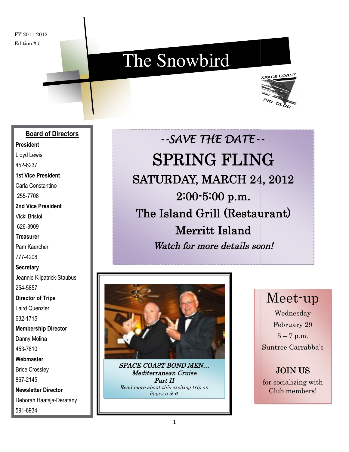FY 2011-2012 Edition # 5

# The Snowbird



#### **Board of Directors**

**President**

Lloyd Lewis

452-6237

**1st Vice President**

Carla Constantino

255-7708

**2nd Vice President** Vicki Bristol

626-3909

**Treasurer**

Pam Kaercher

777-4208

**Secretary**

Jeannie Kilpatrick-Staubus 254-5857

**Director of Trips**

Laird Quenzler

632-1715

**Membership Director**

Danny Molina

453-7810

**Webmaster**

Brice Crossley 867-2145

**Newsletter Director** Deborah Haataja-Deratany 591-6934

*--SAVE THE DATE-- --* SPRING FLING SATURDAY, MARCH 24, 2012 2:00-5:00 p.m. The Island Grill (Restaurant) (Restaurant)Merritt Island Watch for more details soon!



SPACE COAST BOND MEN… Read more about this exciting trip on Mediterranean Cruise Part II Pages 5 & 6.

## Meet-up

Wednesday February 29  $5 - 7$  p.m. Suntree Carrabba's

JOIN US for socializing with Club members!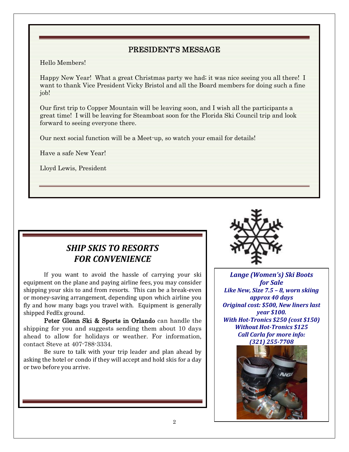#### PRESIDENT'S MESSAGE

Hello Members!

Happy New Year! What a great Christmas party we had; it was nice seeing you all there! I want to thank Vice President Vicky Bristol and all the Board members for doing such a fine job!

Our first trip to Copper Mountain will be leaving soon, and I wish all the participants a great time! I will be leaving for Steamboat soon for the Florida Ski Council trip and look forward to seeing everyone there.

Our next social function will be a Meet-up, so watch your email for details!

Have a safe New Year!

Lloyd Lewis, President

#### *SHIP SKIS TO RESORTS FOR CONVENIENCE*

If you want to avoid the hassle of carrying your ski equipment on the plane and paying airline fees, you may consider shipping your skis to and from resorts. This can be a break-even or money-saving arrangement, depending upon which airline you fly and how many bags you travel with. Equipment is generally shipped FedEx ground.

Peter Glenn Ski & Sports in Orlando can handle the shipping for you and suggests sending them about 10 days ahead to allow for holidays or weather. For information, contact Steve at 407-788-3334.

Be sure to talk with your trip leader and plan ahead by asking the hotel or condo if they will accept and hold skis for a day or two before you arrive.



*Lange (Women's) Ski Boots for Sale Like New, Size 7.5 – 8, worn skiing approx 40 days Original cost: \$500, New liners last year \$100. With Hot-Tronics \$250 (cost \$150) Without Hot-Tronics \$125 Call Carla for more info: (321) 255-7708*

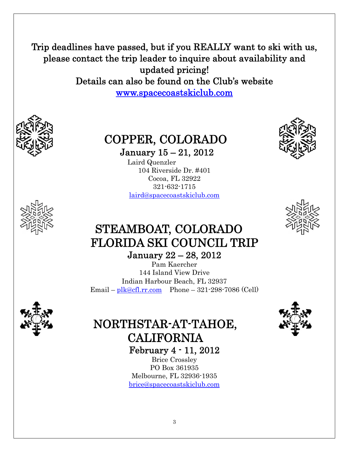Trip deadlines have passed, but if you REALLY want to ski with us, please contact the trip leader to inquire about availability and updated pricing! Details can also be found on the Club's website www.spacecoastskiclub.com



## COPPER, COLORADO

January 15 – 21, 2012

Laird Quenzler 104 Riverside Dr. #401 Cocoa, FL 32922 321-632-1715 laird@spacecoastskiclub.com





### STEAMBOAT, COLORADO FLORIDA SKI COUNCIL TRIP January 22 – 28, 2012

Pam Kaercher 144 Island View Drive Indian Harbour Beach, FL 32937 Email – plk@cfl.rr.com Phone – 321-298-7086 (Cell)



# NORTHSTAR-AT-TAHOE, CALIFORNIA

February 4 - 11, 2012 Brice Crossley

PO Box 361935 Melbourne, FL 32936-1935 brice@spacecoastskiclub.com

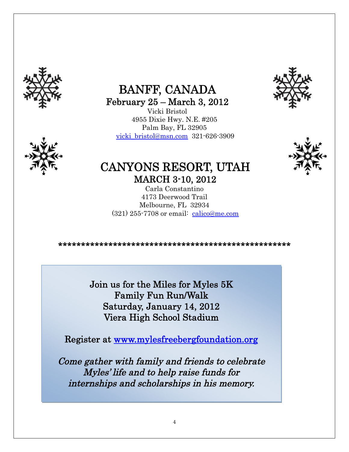

## BANFF, CANADA February 25 – March 3, 2012

Vicki Bristol 4955 Dixie Hwy. N.E. #205 Palm Bay, FL 32905 vicki\_bristol@msn.com 321-626-3909





### CANYONS RESORT, UTAH MARCH 3-10, 2012

Carla Constantino 4173 Deerwood Trail Melbourne, FL 32934 (321) 255-7708 or email: calico@me.com

\*\*\*\*\*\*\*\*\*\*\*\*\*\*\*\*\*\*\*\*\*\*\*\*\*\*\*\*\*\*\*\*\*\*\*\*\*\*\*\*\*\*\*\*\*\*\*\*\*\*\*

Join us for the Miles for Myles 5K Family Fun Run/Walk Saturday, January 14, 2012 Viera High School Stadium

Register at [www.mylesfreebergfoundation.org](http://www.mylesfreebergfoundation.org/)

Come gather with family and friends to celebrate Myles' life and to help raise funds for internships and scholarships in his memory.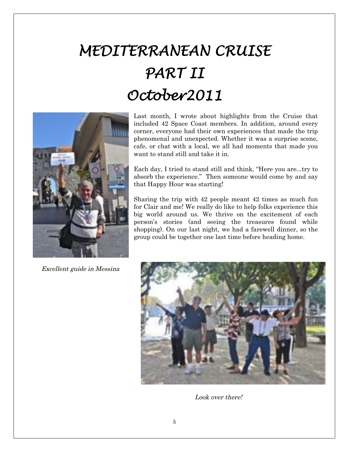# *MEDITERRANEAN CRUISE PART II October2011*



Last month, I wrote about highlights from the Cruise that included 42 Space Coast members. In addition, around every corner, everyone had their own experiences that made the trip phenomenal and unexpected. Whether it was a surprise scene, cafe, or chat with a local, we all had moments that made you want to stand still and take it in.

Each day, I tried to stand still and think, "Here you are...try to absorb the experience." Then someone would come by and say that Happy Hour was starting!

Sharing the trip with 42 people meant 42 times as much fun for Clair and me! We really do like to help folks experience this big world around us. We thrive on the excitement of each person's stories (and seeing the treasures found while shopping). On our last night, we had a farewell dinner, so the group could be together one last time before heading home.

Excellent guide in Messina



Look over there!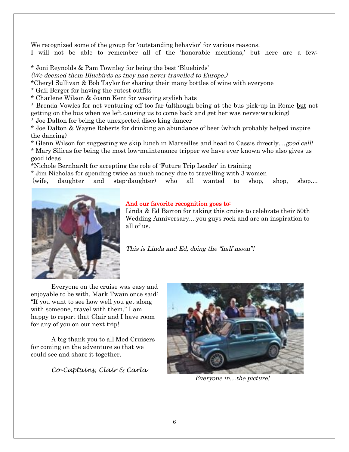We recognized some of the group for 'outstanding behavior' for various reasons. I will not be able to remember all of the 'honorable mentions,' but here are a few:

\* Joni Reynolds & Pam Townley for being the best 'Bluebirds'

(We deemed them Bluebirds as they had never travelled to Europe.)

\*Cheryl Sullivan & Bob Taylor for sharing their many bottles of wine with everyone

\* Gail Berger for having the cutest outfits

\* Charlene Wilson & Joann Kent for wearing stylish hats

\* Brenda Vowles for not venturing off too far (although being at the bus pick-up in Rome but not getting on the bus when we left causing us to come back and get her was nerve-wracking)

\* Joe Dalton for being the unexpected disco king dancer

\* Joe Dalton & Wayne Roberts for drinking an abundance of beer (which probably helped inspire the dancing)

\* Glenn Wilson for suggesting we skip lunch in Marseilles and head to Cassis directly....good call! \* Mary Silicas for being the most low-maintenance tripper we have ever known who also gives us good ideas

\*Nichole Bernhardt for accepting the role of 'Future Trip Leader' in training

\* Jim Nicholas for spending twice as much money due to travelling with 3 women

(wife, daughter and step-daughter) who all wanted to shop, shop, shop....



#### And our favorite recognition goes to:

Linda & Ed Barton for taking this cruise to celebrate their 50th Wedding Anniversary....you guys rock and are an inspiration to all of us.

This is Linda and Ed, doing the "half moon"!

Everyone on the cruise was easy and enjoyable to be with. Mark Twain once said: "If you want to see how well you get along with someone, travel with them." I am happy to report that Clair and I have room for any of you on our next trip!

A big thank you to all Med Cruisers for coming on the adventure so that we could see and share it together.

*Co-Captains, Clair & Carla*



Everyone in…the picture!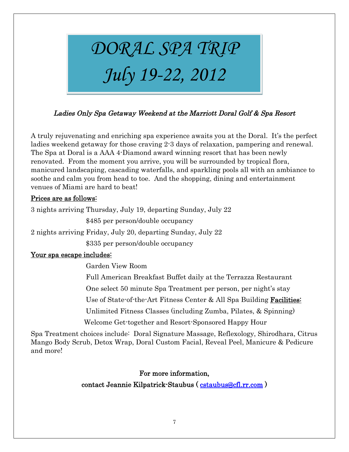

#### Ladies Only Spa Getaway Weekend at the Marriott Doral Golf & Spa Resort

A truly rejuvenating and enriching spa experience awaits you at the Doral. It's the perfect ladies weekend getaway for those craving 2-3 days of relaxation, pampering and renewal. The Spa at Doral is a AAA 4-Diamond award winning resort that has been newly renovated. From the moment you arrive, you will be surrounded by tropical flora, manicured landscaping, cascading waterfalls, and sparkling pools all with an ambiance to soothe and calm you from head to toe. And the shopping, dining and entertainment venues of Miami are hard to beat!

#### Prices are as follows:

3 nights arriving Thursday, July 19, departing Sunday, July 22

\$485 per person/double occupancy

2 nights arriving Friday, July 20, departing Sunday, July 22

\$335 per person/double occupancy

#### Your spa escape includes:

Garden View Room

Full American Breakfast Buffet daily at the Terrazza Restaurant

One select 50 minute Spa Treatment per person, per night's stay

Use of State-of-the-Art Fitness Center & All Spa Building Facilities:

Unlimited Fitness Classes (including Zumba, Pilates, & Spinning)

Welcome Get-together and Resort-Sponsored Happy Hour

Spa Treatment choices include: Doral Signature Massage, Reflexology, Shirodhara, Citrus Mango Body Scrub, Detox Wrap, Doral Custom Facial, Reveal Peel, Manicure & Pedicure and more!

#### For more information,

#### contact Jeannie Kilpatrick-Staubus ( cstaubus@cfl.rr.com )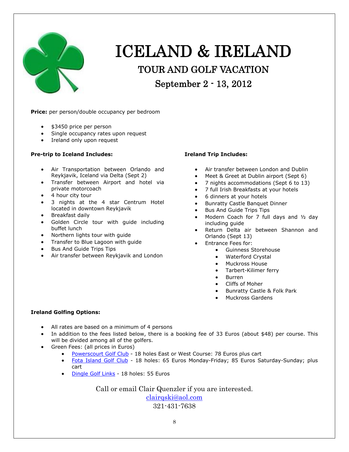

# ICELAND & IRELAND TOUR AND GOLF VACATION September 2 - 13, 2012

**Price:** per person/double occupancy per bedroom

- $\bullet$  \$3450 price per person
- Single occupancy rates upon request
- Ireland only upon request

#### **Pre-trip to Iceland Includes:**

- Air Transportation between Orlando and Reykjavik, Iceland via Delta (Sept 2)
- Transfer between Airport and hotel via private motorcoach
- $\bullet$  4 hour city tour
- 3 nights at the 4 star Centrum Hotel located in downtown Reykjavik
- Breakfast daily
- Golden Circle tour with quide including buffet lunch
- Northern lights tour with guide
- Transfer to Blue Lagoon with guide
- Bus And Guide Trips Tips
- Air transfer between Reykjavik and London

#### **Ireland Trip Includes:**

- Air transfer between London and Dublin
- Meet & Greet at Dublin airport (Sept 6)
- x 7 nights accommodations (Sept 6 to 13)
- x 7 full Irish Breakfasts at your hotels
- 6 dinners at your hotels
- Bunratty Castle Banquet Dinner
- Bus And Guide Trips Tips
- $\bullet$  Modern Coach for 7 full days and  $1/2$  day including guide
- Return Delta air between Shannon and Orlando (Sept 13)
- **•** Entrance Fees for:
	- **•** Guinness Storehouse
	- Waterford Crystal
	- Muckross House
	- Tarbert-Kilimer ferry
	- Burren
	- Cliffs of Moher
	- Bunratty Castle & Folk Park
	- Muckross Gardens

#### **Ireland Golfing Options:**

- All rates are based on a minimum of 4 persons
- In addition to the fees listed below, there is a booking fee of 33 Euros (about \$48) per course. This will be divided among all of the golfers.
- Green Fees: (all prices in Euros)
	- Powerscourt Golf Club 18 holes East or West Course: 78 Euros plus cart
	- Fota Island Golf Club 18 holes: 65 Euros Monday-Friday; 85 Euros Saturday-Sunday; plus cart
	- Dingle Golf Links 18 holes: 55 Euros

Call or email Clair Quenzler if you are interested.

clairqski@aol.com 321-431-7638